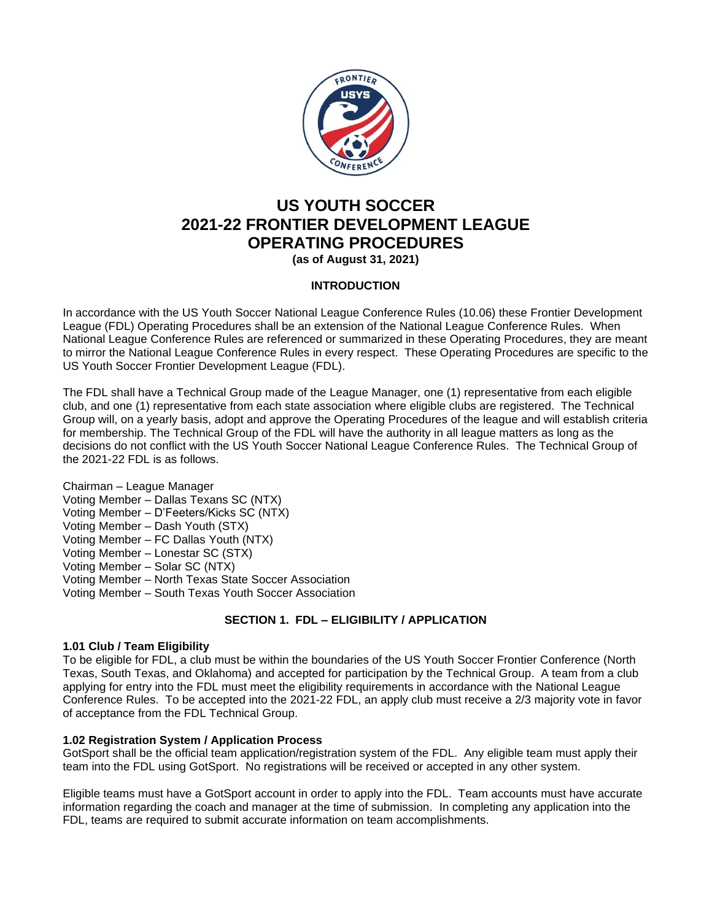

# **US YOUTH SOCCER 2021-22 FRONTIER DEVELOPMENT LEAGUE OPERATING PROCEDURES**

**(as of August 31, 2021)**

# **INTRODUCTION**

In accordance with the US Youth Soccer National League Conference Rules (10.06) these Frontier Development League (FDL) Operating Procedures shall be an extension of the National League Conference Rules. When National League Conference Rules are referenced or summarized in these Operating Procedures, they are meant to mirror the National League Conference Rules in every respect. These Operating Procedures are specific to the US Youth Soccer Frontier Development League (FDL).

The FDL shall have a Technical Group made of the League Manager, one (1) representative from each eligible club, and one (1) representative from each state association where eligible clubs are registered. The Technical Group will, on a yearly basis, adopt and approve the Operating Procedures of the league and will establish criteria for membership. The Technical Group of the FDL will have the authority in all league matters as long as the decisions do not conflict with the US Youth Soccer National League Conference Rules. The Technical Group of the 2021-22 FDL is as follows.

Chairman – League Manager Voting Member – Dallas Texans SC (NTX) Voting Member – D'Feeters/Kicks SC (NTX) Voting Member – Dash Youth (STX) Voting Member – FC Dallas Youth (NTX) Voting Member – Lonestar SC (STX) Voting Member – Solar SC (NTX) Voting Member – North Texas State Soccer Association Voting Member – South Texas Youth Soccer Association

# **SECTION 1. FDL – ELIGIBILITY / APPLICATION**

# **1.01 Club / Team Eligibility**

To be eligible for FDL, a club must be within the boundaries of the US Youth Soccer Frontier Conference (North Texas, South Texas, and Oklahoma) and accepted for participation by the Technical Group. A team from a club applying for entry into the FDL must meet the eligibility requirements in accordance with the National League Conference Rules. To be accepted into the 2021-22 FDL, an apply club must receive a 2/3 majority vote in favor of acceptance from the FDL Technical Group.

# **1.02 Registration System / Application Process**

GotSport shall be the official team application/registration system of the FDL. Any eligible team must apply their team into the FDL using GotSport. No registrations will be received or accepted in any other system.

Eligible teams must have a GotSport account in order to apply into the FDL. Team accounts must have accurate information regarding the coach and manager at the time of submission. In completing any application into the FDL, teams are required to submit accurate information on team accomplishments.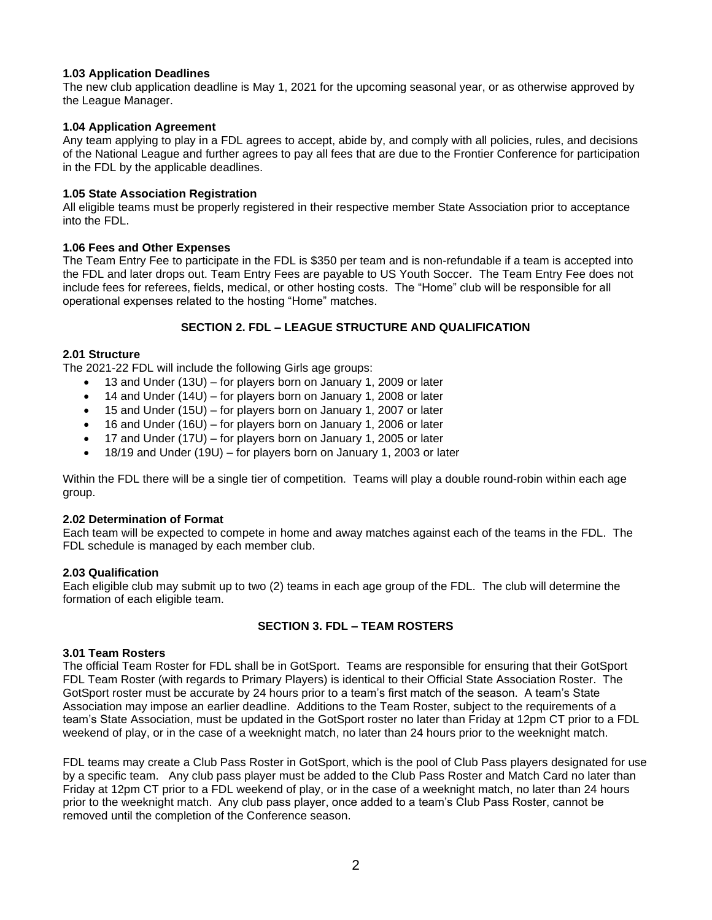# **1.03 Application Deadlines**

The new club application deadline is May 1, 2021 for the upcoming seasonal year, or as otherwise approved by the League Manager.

# **1.04 Application Agreement**

Any team applying to play in a FDL agrees to accept, abide by, and comply with all policies, rules, and decisions of the National League and further agrees to pay all fees that are due to the Frontier Conference for participation in the FDL by the applicable deadlines.

# **1.05 State Association Registration**

All eligible teams must be properly registered in their respective member State Association prior to acceptance into the FDL.

## **1.06 Fees and Other Expenses**

The Team Entry Fee to participate in the FDL is \$350 per team and is non-refundable if a team is accepted into the FDL and later drops out. Team Entry Fees are payable to US Youth Soccer. The Team Entry Fee does not include fees for referees, fields, medical, or other hosting costs. The "Home" club will be responsible for all operational expenses related to the hosting "Home" matches.

# **SECTION 2. FDL – LEAGUE STRUCTURE AND QUALIFICATION**

# **2.01 Structure**

The 2021-22 FDL will include the following Girls age groups:

- 13 and Under (13U) for players born on January 1, 2009 or later
- 14 and Under (14U) for players born on January 1, 2008 or later
- 15 and Under (15U) for players born on January 1, 2007 or later
- 16 and Under (16U) for players born on January 1, 2006 or later
- 17 and Under (17U) for players born on January 1, 2005 or later
- 18/19 and Under (19U) for players born on January 1, 2003 or later

Within the FDL there will be a single tier of competition. Teams will play a double round-robin within each age group.

## **2.02 Determination of Format**

Each team will be expected to compete in home and away matches against each of the teams in the FDL. The FDL schedule is managed by each member club.

## **2.03 Qualification**

Each eligible club may submit up to two (2) teams in each age group of the FDL. The club will determine the formation of each eligible team.

# **SECTION 3. FDL – TEAM ROSTERS**

## **3.01 Team Rosters**

The official Team Roster for FDL shall be in GotSport. Teams are responsible for ensuring that their GotSport FDL Team Roster (with regards to Primary Players) is identical to their Official State Association Roster. The GotSport roster must be accurate by 24 hours prior to a team's first match of the season. A team's State Association may impose an earlier deadline. Additions to the Team Roster, subject to the requirements of a team's State Association, must be updated in the GotSport roster no later than Friday at 12pm CT prior to a FDL weekend of play, or in the case of a weeknight match, no later than 24 hours prior to the weeknight match.

FDL teams may create a Club Pass Roster in GotSport, which is the pool of Club Pass players designated for use by a specific team. Any club pass player must be added to the Club Pass Roster and Match Card no later than Friday at 12pm CT prior to a FDL weekend of play, or in the case of a weeknight match, no later than 24 hours prior to the weeknight match. Any club pass player, once added to a team's Club Pass Roster, cannot be removed until the completion of the Conference season.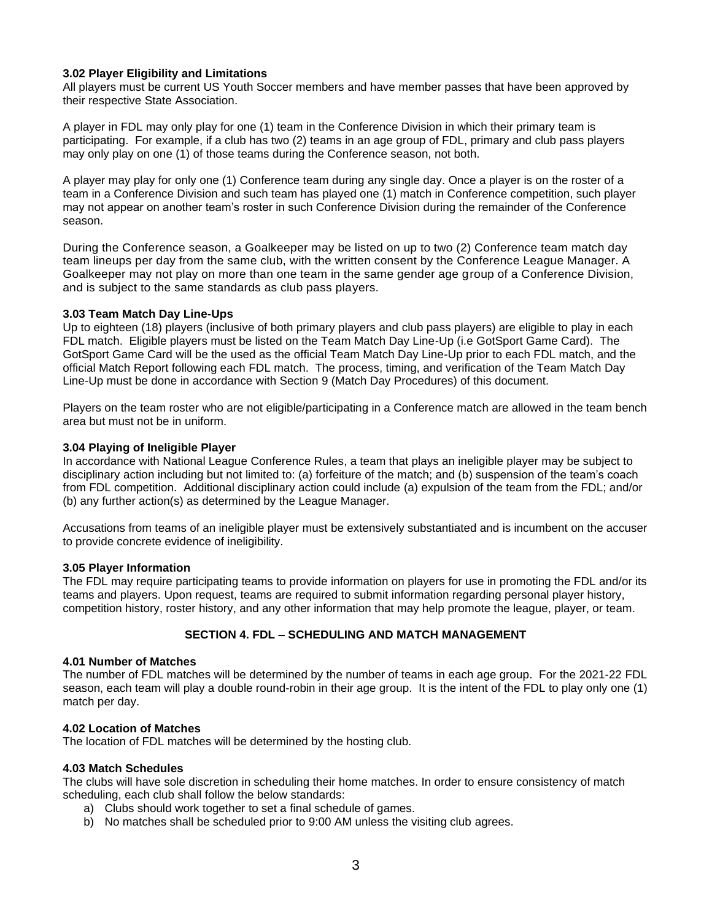# **3.02 Player Eligibility and Limitations**

All players must be current US Youth Soccer members and have member passes that have been approved by their respective State Association.

A player in FDL may only play for one (1) team in the Conference Division in which their primary team is participating. For example, if a club has two (2) teams in an age group of FDL, primary and club pass players may only play on one (1) of those teams during the Conference season, not both.

A player may play for only one (1) Conference team during any single day. Once a player is on the roster of a team in a Conference Division and such team has played one (1) match in Conference competition, such player may not appear on another team's roster in such Conference Division during the remainder of the Conference season.

During the Conference season, a Goalkeeper may be listed on up to two (2) Conference team match day team lineups per day from the same club, with the written consent by the Conference League Manager. A Goalkeeper may not play on more than one team in the same gender age group of a Conference Division, and is subject to the same standards as club pass players.

## **3.03 Team Match Day Line-Ups**

Up to eighteen (18) players (inclusive of both primary players and club pass players) are eligible to play in each FDL match. Eligible players must be listed on the Team Match Day Line-Up (i.e GotSport Game Card). The GotSport Game Card will be the used as the official Team Match Day Line-Up prior to each FDL match, and the official Match Report following each FDL match. The process, timing, and verification of the Team Match Day Line-Up must be done in accordance with Section 9 (Match Day Procedures) of this document.

Players on the team roster who are not eligible/participating in a Conference match are allowed in the team bench area but must not be in uniform.

## **3.04 Playing of Ineligible Player**

In accordance with National League Conference Rules, a team that plays an ineligible player may be subject to disciplinary action including but not limited to: (a) forfeiture of the match; and (b) suspension of the team's coach from FDL competition. Additional disciplinary action could include (a) expulsion of the team from the FDL; and/or (b) any further action(s) as determined by the League Manager.

Accusations from teams of an ineligible player must be extensively substantiated and is incumbent on the accuser to provide concrete evidence of ineligibility.

## **3.05 Player Information**

The FDL may require participating teams to provide information on players for use in promoting the FDL and/or its teams and players. Upon request, teams are required to submit information regarding personal player history, competition history, roster history, and any other information that may help promote the league, player, or team.

# **SECTION 4. FDL – SCHEDULING AND MATCH MANAGEMENT**

# **4.01 Number of Matches**

The number of FDL matches will be determined by the number of teams in each age group. For the 2021-22 FDL season, each team will play a double round-robin in their age group.It is the intent of the FDL to play only one (1) match per day.

## **4.02 Location of Matches**

The location of FDL matches will be determined by the hosting club.

## **4.03 Match Schedules**

The clubs will have sole discretion in scheduling their home matches. In order to ensure consistency of match scheduling, each club shall follow the below standards:

- a) Clubs should work together to set a final schedule of games.
- b) No matches shall be scheduled prior to 9:00 AM unless the visiting club agrees.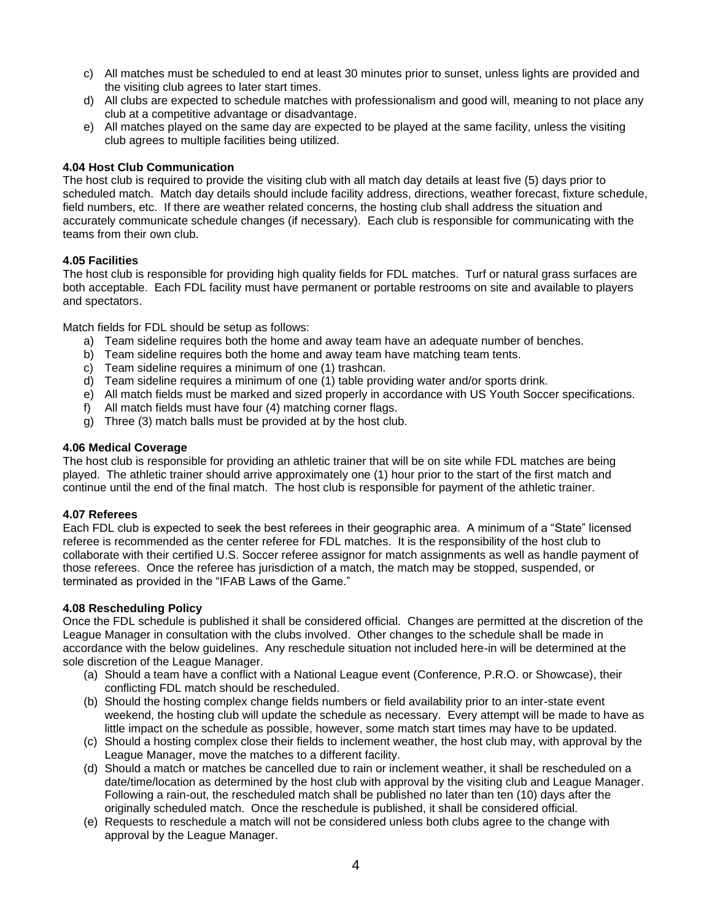- c) All matches must be scheduled to end at least 30 minutes prior to sunset, unless lights are provided and the visiting club agrees to later start times.
- d) All clubs are expected to schedule matches with professionalism and good will, meaning to not place any club at a competitive advantage or disadvantage.
- e) All matches played on the same day are expected to be played at the same facility, unless the visiting club agrees to multiple facilities being utilized.

# **4.04 Host Club Communication**

The host club is required to provide the visiting club with all match day details at least five (5) days prior to scheduled match. Match day details should include facility address, directions, weather forecast, fixture schedule, field numbers, etc. If there are weather related concerns, the hosting club shall address the situation and accurately communicate schedule changes (if necessary). Each club is responsible for communicating with the teams from their own club.

# **4.05 Facilities**

The host club is responsible for providing high quality fields for FDL matches. Turf or natural grass surfaces are both acceptable. Each FDL facility must have permanent or portable restrooms on site and available to players and spectators.

Match fields for FDL should be setup as follows:

- a) Team sideline requires both the home and away team have an adequate number of benches.
- b) Team sideline requires both the home and away team have matching team tents.
- c) Team sideline requires a minimum of one (1) trashcan.
- d) Team sideline requires a minimum of one (1) table providing water and/or sports drink.
- e) All match fields must be marked and sized properly in accordance with US Youth Soccer specifications.
- f) All match fields must have four (4) matching corner flags.
- g) Three (3) match balls must be provided at by the host club.

# **4.06 Medical Coverage**

The host club is responsible for providing an athletic trainer that will be on site while FDL matches are being played. The athletic trainer should arrive approximately one (1) hour prior to the start of the first match and continue until the end of the final match. The host club is responsible for payment of the athletic trainer.

## **4.07 Referees**

Each FDL club is expected to seek the best referees in their geographic area. A minimum of a "State" licensed referee is recommended as the center referee for FDL matches. It is the responsibility of the host club to collaborate with their certified U.S. Soccer referee assignor for match assignments as well as handle payment of those referees. Once the referee has jurisdiction of a match, the match may be stopped, suspended, or terminated as provided in the "IFAB Laws of the Game."

## **4.08 Rescheduling Policy**

Once the FDL schedule is published it shall be considered official. Changes are permitted at the discretion of the League Manager in consultation with the clubs involved. Other changes to the schedule shall be made in accordance with the below guidelines. Any reschedule situation not included here-in will be determined at the sole discretion of the League Manager.

- (a) Should a team have a conflict with a National League event (Conference, P.R.O. or Showcase), their conflicting FDL match should be rescheduled.
- (b) Should the hosting complex change fields numbers or field availability prior to an inter-state event weekend, the hosting club will update the schedule as necessary. Every attempt will be made to have as little impact on the schedule as possible, however, some match start times may have to be updated.
- (c) Should a hosting complex close their fields to inclement weather, the host club may, with approval by the League Manager, move the matches to a different facility.
- (d) Should a match or matches be cancelled due to rain or inclement weather, it shall be rescheduled on a date/time/location as determined by the host club with approval by the visiting club and League Manager. Following a rain-out, the rescheduled match shall be published no later than ten (10) days after the originally scheduled match. Once the reschedule is published, it shall be considered official.
- (e) Requests to reschedule a match will not be considered unless both clubs agree to the change with approval by the League Manager.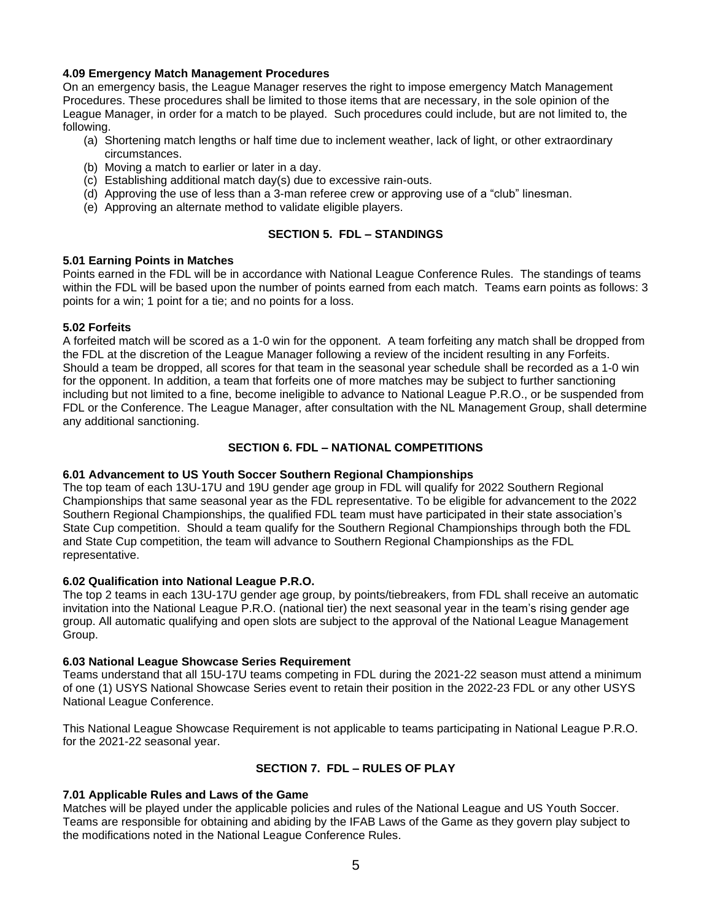# **4.09 Emergency Match Management Procedures**

On an emergency basis, the League Manager reserves the right to impose emergency Match Management Procedures. These procedures shall be limited to those items that are necessary, in the sole opinion of the League Manager, in order for a match to be played. Such procedures could include, but are not limited to, the following.

- (a) Shortening match lengths or half time due to inclement weather, lack of light, or other extraordinary circumstances.
- (b) Moving a match to earlier or later in a day.
- (c) Establishing additional match day(s) due to excessive rain-outs.
- (d) Approving the use of less than a 3-man referee crew or approving use of a "club" linesman.
- (e) Approving an alternate method to validate eligible players.

# **SECTION 5. FDL – STANDINGS**

## **5.01 Earning Points in Matches**

Points earned in the FDL will be in accordance with National League Conference Rules. The standings of teams within the FDL will be based upon the number of points earned from each match. Teams earn points as follows: 3 points for a win; 1 point for a tie; and no points for a loss.

## **5.02 Forfeits**

A forfeited match will be scored as a 1-0 win for the opponent. A team forfeiting any match shall be dropped from the FDL at the discretion of the League Manager following a review of the incident resulting in any Forfeits. Should a team be dropped, all scores for that team in the seasonal year schedule shall be recorded as a 1-0 win for the opponent. In addition, a team that forfeits one of more matches may be subject to further sanctioning including but not limited to a fine, become ineligible to advance to National League P.R.O., or be suspended from FDL or the Conference. The League Manager, after consultation with the NL Management Group, shall determine any additional sanctioning.

# **SECTION 6. FDL – NATIONAL COMPETITIONS**

## **6.01 Advancement to US Youth Soccer Southern Regional Championships**

The top team of each 13U-17U and 19U gender age group in FDL will qualify for 2022 Southern Regional Championships that same seasonal year as the FDL representative. To be eligible for advancement to the 2022 Southern Regional Championships, the qualified FDL team must have participated in their state association's State Cup competition. Should a team qualify for the Southern Regional Championships through both the FDL and State Cup competition, the team will advance to Southern Regional Championships as the FDL representative.

## **6.02 Qualification into National League P.R.O.**

The top 2 teams in each 13U-17U gender age group, by points/tiebreakers, from FDL shall receive an automatic invitation into the National League P.R.O. (national tier) the next seasonal year in the team's rising gender age group. All automatic qualifying and open slots are subject to the approval of the National League Management Group.

## **6.03 National League Showcase Series Requirement**

Teams understand that all 15U-17U teams competing in FDL during the 2021-22 season must attend a minimum of one (1) USYS National Showcase Series event to retain their position in the 2022-23 FDL or any other USYS National League Conference.

This National League Showcase Requirement is not applicable to teams participating in National League P.R.O. for the 2021-22 seasonal year.

# **SECTION 7. FDL – RULES OF PLAY**

## **7.01 Applicable Rules and Laws of the Game**

Matches will be played under the applicable policies and rules of the National League and US Youth Soccer. Teams are responsible for obtaining and abiding by the IFAB Laws of the Game as they govern play subject to the modifications noted in the National League Conference Rules.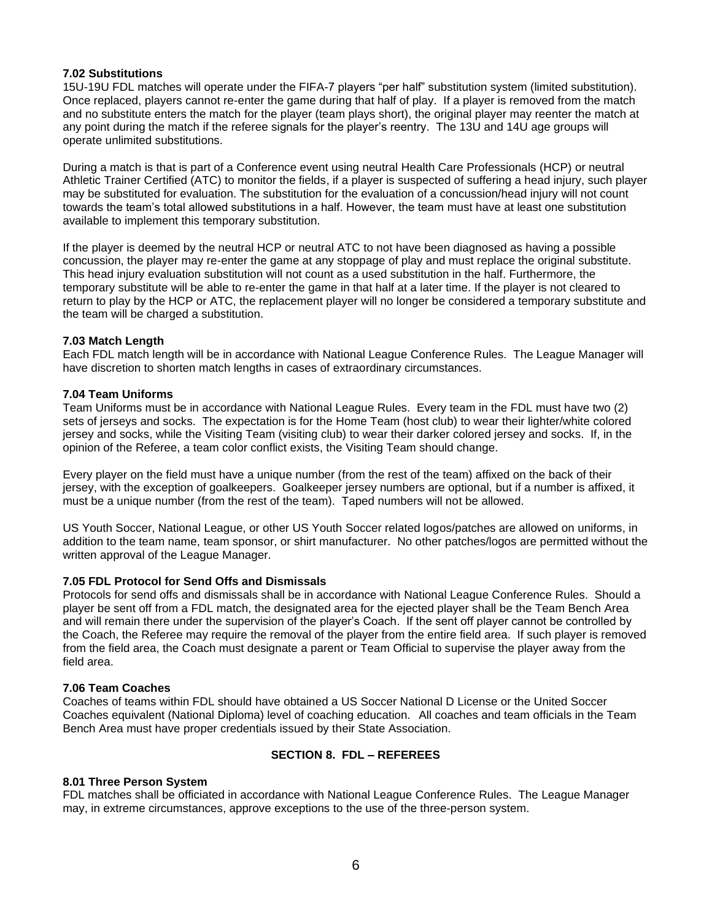# **7.02 Substitutions**

15U-19U FDL matches will operate under the FIFA-7 players "per half" substitution system (limited substitution). Once replaced, players cannot re-enter the game during that half of play. If a player is removed from the match and no substitute enters the match for the player (team plays short), the original player may reenter the match at any point during the match if the referee signals for the player's reentry. The 13U and 14U age groups will operate unlimited substitutions.

During a match is that is part of a Conference event using neutral Health Care Professionals (HCP) or neutral Athletic Trainer Certified (ATC) to monitor the fields, if a player is suspected of suffering a head injury, such player may be substituted for evaluation. The substitution for the evaluation of a concussion/head injury will not count towards the team's total allowed substitutions in a half. However, the team must have at least one substitution available to implement this temporary substitution.

If the player is deemed by the neutral HCP or neutral ATC to not have been diagnosed as having a possible concussion, the player may re-enter the game at any stoppage of play and must replace the original substitute. This head injury evaluation substitution will not count as a used substitution in the half. Furthermore, the temporary substitute will be able to re-enter the game in that half at a later time. If the player is not cleared to return to play by the HCP or ATC, the replacement player will no longer be considered a temporary substitute and the team will be charged a substitution.

## **7.03 Match Length**

Each FDL match length will be in accordance with National League Conference Rules. The League Manager will have discretion to shorten match lengths in cases of extraordinary circumstances.

# **7.04 Team Uniforms**

Team Uniforms must be in accordance with National League Rules. Every team in the FDL must have two (2) sets of jerseys and socks. The expectation is for the Home Team (host club) to wear their lighter/white colored jersey and socks, while the Visiting Team (visiting club) to wear their darker colored jersey and socks. If, in the opinion of the Referee, a team color conflict exists, the Visiting Team should change.

Every player on the field must have a unique number (from the rest of the team) affixed on the back of their jersey, with the exception of goalkeepers. Goalkeeper jersey numbers are optional, but if a number is affixed, it must be a unique number (from the rest of the team). Taped numbers will not be allowed.

US Youth Soccer, National League, or other US Youth Soccer related logos/patches are allowed on uniforms, in addition to the team name, team sponsor, or shirt manufacturer. No other patches/logos are permitted without the written approval of the League Manager.

## **7.05 FDL Protocol for Send Offs and Dismissals**

Protocols for send offs and dismissals shall be in accordance with National League Conference Rules. Should a player be sent off from a FDL match, the designated area for the ejected player shall be the Team Bench Area and will remain there under the supervision of the player's Coach. If the sent off player cannot be controlled by the Coach, the Referee may require the removal of the player from the entire field area. If such player is removed from the field area, the Coach must designate a parent or Team Official to supervise the player away from the field area.

## **7.06 Team Coaches**

Coaches of teams within FDL should have obtained a US Soccer National D License or the United Soccer Coaches equivalent (National Diploma) level of coaching education. All coaches and team officials in the Team Bench Area must have proper credentials issued by their State Association.

# **SECTION 8. FDL – REFEREES**

## **8.01 Three Person System**

FDL matches shall be officiated in accordance with National League Conference Rules. The League Manager may, in extreme circumstances, approve exceptions to the use of the three-person system.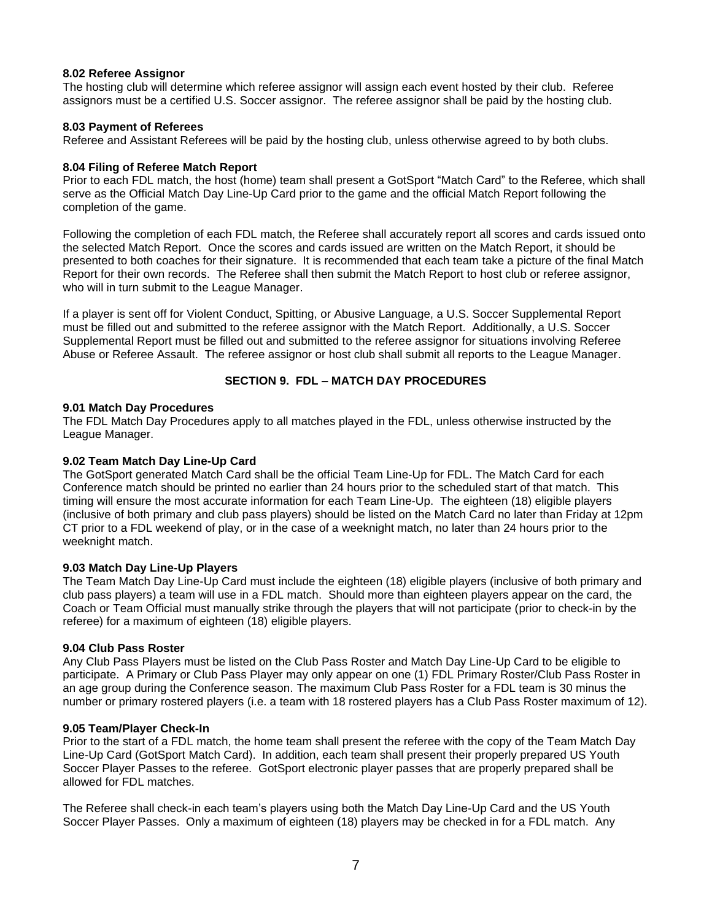## **8.02 Referee Assignor**

The hosting club will determine which referee assignor will assign each event hosted by their club. Referee assignors must be a certified U.S. Soccer assignor. The referee assignor shall be paid by the hosting club.

# **8.03 Payment of Referees**

Referee and Assistant Referees will be paid by the hosting club, unless otherwise agreed to by both clubs.

# **8.04 Filing of Referee Match Report**

Prior to each FDL match, the host (home) team shall present a GotSport "Match Card" to the Referee, which shall serve as the Official Match Day Line-Up Card prior to the game and the official Match Report following the completion of the game.

Following the completion of each FDL match, the Referee shall accurately report all scores and cards issued onto the selected Match Report. Once the scores and cards issued are written on the Match Report, it should be presented to both coaches for their signature. It is recommended that each team take a picture of the final Match Report for their own records. The Referee shall then submit the Match Report to host club or referee assignor, who will in turn submit to the League Manager.

If a player is sent off for Violent Conduct, Spitting, or Abusive Language, a U.S. Soccer Supplemental Report must be filled out and submitted to the referee assignor with the Match Report. Additionally, a U.S. Soccer Supplemental Report must be filled out and submitted to the referee assignor for situations involving Referee Abuse or Referee Assault. The referee assignor or host club shall submit all reports to the League Manager.

# **SECTION 9. FDL – MATCH DAY PROCEDURES**

## **9.01 Match Day Procedures**

The FDL Match Day Procedures apply to all matches played in the FDL, unless otherwise instructed by the League Manager.

# **9.02 Team Match Day Line-Up Card**

The GotSport generated Match Card shall be the official Team Line-Up for FDL. The Match Card for each Conference match should be printed no earlier than 24 hours prior to the scheduled start of that match. This timing will ensure the most accurate information for each Team Line-Up. The eighteen (18) eligible players (inclusive of both primary and club pass players) should be listed on the Match Card no later than Friday at 12pm CT prior to a FDL weekend of play, or in the case of a weeknight match, no later than 24 hours prior to the weeknight match.

# **9.03 Match Day Line-Up Players**

The Team Match Day Line-Up Card must include the eighteen (18) eligible players (inclusive of both primary and club pass players) a team will use in a FDL match. Should more than eighteen players appear on the card, the Coach or Team Official must manually strike through the players that will not participate (prior to check-in by the referee) for a maximum of eighteen (18) eligible players.

## **9.04 Club Pass Roster**

Any Club Pass Players must be listed on the Club Pass Roster and Match Day Line-Up Card to be eligible to participate. A Primary or Club Pass Player may only appear on one (1) FDL Primary Roster/Club Pass Roster in an age group during the Conference season. The maximum Club Pass Roster for a FDL team is 30 minus the number or primary rostered players (i.e. a team with 18 rostered players has a Club Pass Roster maximum of 12).

## **9.05 Team/Player Check-In**

Prior to the start of a FDL match, the home team shall present the referee with the copy of the Team Match Day Line-Up Card (GotSport Match Card). In addition, each team shall present their properly prepared US Youth Soccer Player Passes to the referee. GotSport electronic player passes that are properly prepared shall be allowed for FDL matches.

The Referee shall check-in each team's players using both the Match Day Line-Up Card and the US Youth Soccer Player Passes. Only a maximum of eighteen (18) players may be checked in for a FDL match. Any